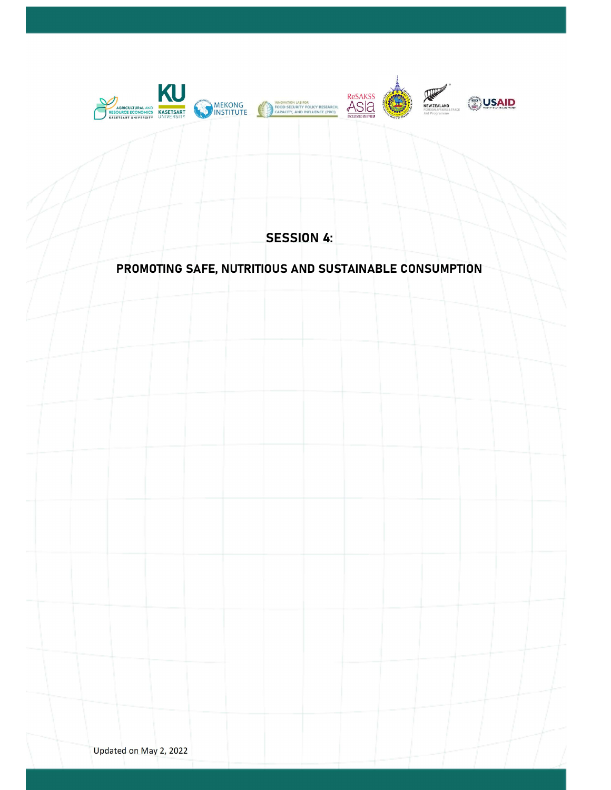

SESSION 4:

## PROMOTING SAFE, NUTRITIOUS AND SUSTAINABLE CONSUMPTION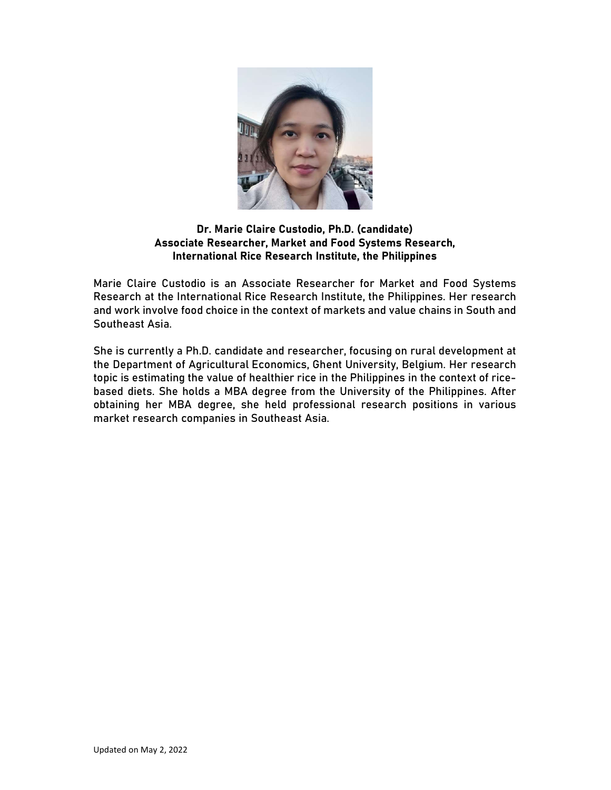

## Dr. Marie Claire Custodio, Ph.D. (candidate) Associate Researcher, Market and Food Systems Research, International Rice Research Institute, the Philippines

Marie Claire Custodio is an Associate Researcher for Market and Food Systems Research at the International Rice Research Institute, the Philippines. Her research and work involve food choice in the context of markets and value chains in South and Southeast Asia.

She is currently a Ph.D. candidate and researcher, focusing on rural development at the Department of Agricultural Economics, Ghent University, Belgium. Her research topic is estimating the value of healthier rice in the Philippines in the context of ricebased diets. She holds a MBA degree from the University of the Philippines. After obtaining her MBA degree, she held professional research positions in various market research companies in Southeast Asia.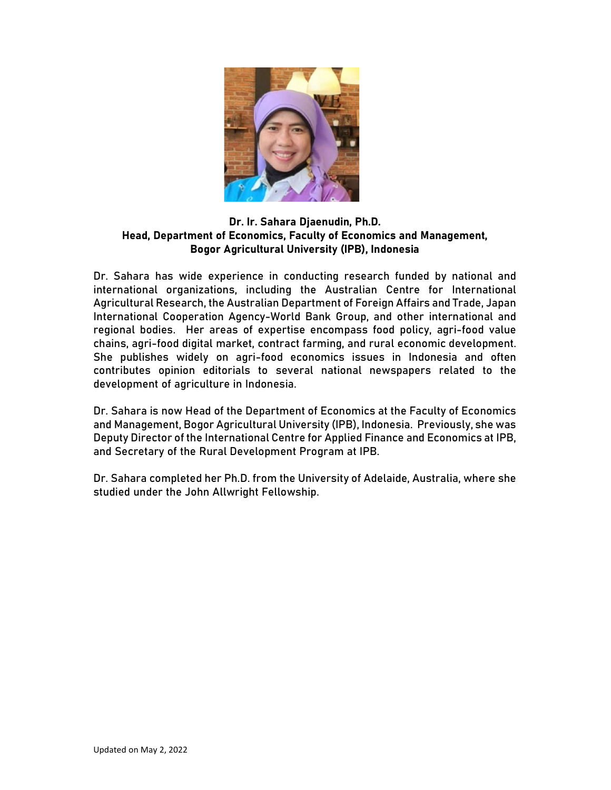

## Dr. Ir. Sahara Djaenudin, Ph.D. Head, Department of Economics, Faculty of Economics and Management, Bogor Agricultural University (IPB), Indonesia

Dr. Sahara has wide experience in conducting research funded by national and international organizations, including the Australian Centre for International Agricultural Research, the Australian Department of Foreign Affairs and Trade, Japan International Cooperation Agency-World Bank Group, and other international and regional bodies. Her areas of expertise encompass food policy, agri-food value chains, agri-food digital market, contract farming, and rural economic development. She publishes widely on agri-food economics issues in Indonesia and often contributes opinion editorials to several national newspapers related to the development of agriculture in Indonesia.

Dr. Sahara is now Head of the Department of Economics at the Faculty of Economics and Management, Bogor Agricultural University (IPB), Indonesia. Previously, she was Deputy Director of the International Centre for Applied Finance and Economics at IPB, and Secretary of the Rural Development Program at IPB.

Dr. Sahara completed her Ph.D. from the University of Adelaide, Australia, where she studied under the John Allwright Fellowship.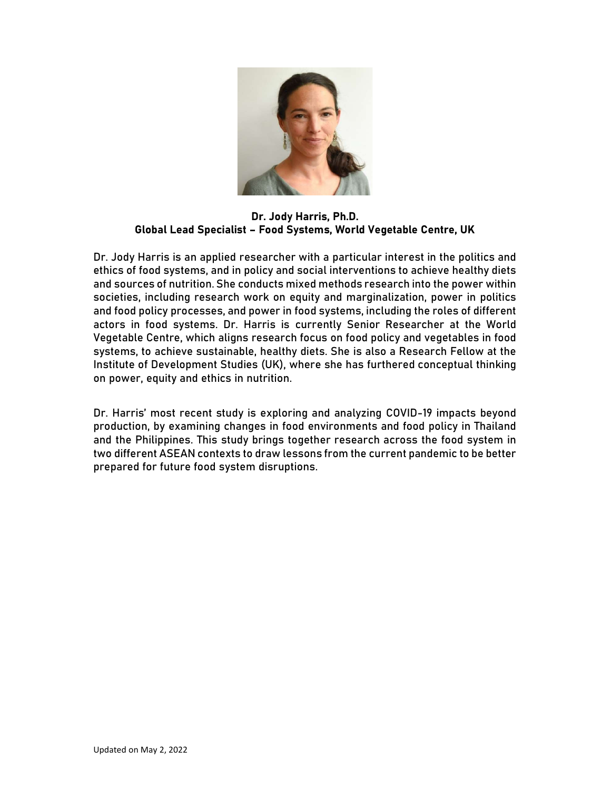

Dr. Jody Harris, Ph.D. Global Lead Specialist – Food Systems, World Vegetable Centre, UK

Dr. Jody Harris is an applied researcher with a particular interest in the politics and ethics of food systems, and in policy and social interventions to achieve healthy diets and sources of nutrition. She conducts mixed methods research into the power within societies, including research work on equity and marginalization, power in politics and food policy processes, and power in food systems, including the roles of different actors in food systems. Dr. Harris is currently Senior Researcher at the World Vegetable Centre, which aligns research focus on food policy and vegetables in food systems, to achieve sustainable, healthy diets. She is also a Research Fellow at the Institute of Development Studies (UK), where she has furthered conceptual thinking on power, equity and ethics in nutrition.

Dr. Harris' most recent study is exploring and analyzing COVID-19 impacts beyond production, by examining changes in food environments and food policy in Thailand and the Philippines. This study brings together research across the food system in two different ASEAN contexts to draw lessons from the current pandemic to be better prepared for future food system disruptions.